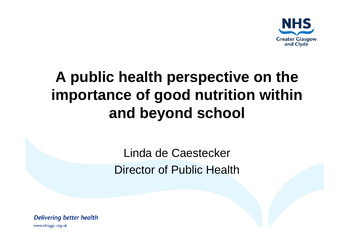

### **A public health perspective on the importance of good nutrition within and beyond school**

Linda de Caestecker Director of Public Health

**Delivering better health**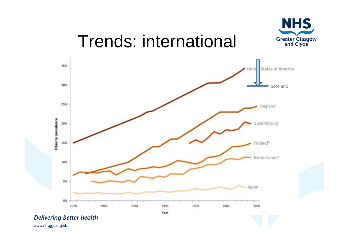

## Trends: international

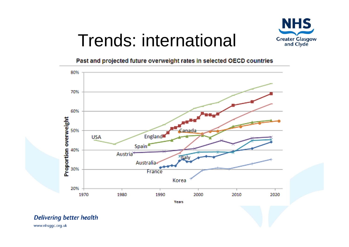

## Trends: international

#### Past and projected future overweight rates in selected OECD countries



#### **Delivering better health**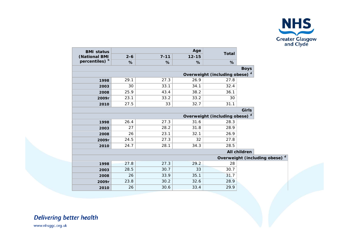

| <b>BMI status</b><br>(National BMI<br>percentiles) b | Age     |          |           | <b>Total</b>                              |              |  |  |
|------------------------------------------------------|---------|----------|-----------|-------------------------------------------|--------------|--|--|
|                                                      | $2 - 6$ | $7 - 11$ | $12 - 15$ |                                           |              |  |  |
|                                                      | %       | %        | %         | %                                         |              |  |  |
| <b>Boys</b>                                          |         |          |           |                                           |              |  |  |
| Overweight (including obese) <sup>d</sup>            |         |          |           |                                           |              |  |  |
| 1998                                                 | 29.1    | 27.3     | 26.9      | 27.8                                      |              |  |  |
| 2003                                                 | 30      | 33.1     | 34.1      | 32.4                                      |              |  |  |
| 2008                                                 | 25.9    | 43.4     | 38.2      | 36.1                                      |              |  |  |
| 2009r                                                | 23.1    | 33.2     | 33.2      | 30                                        |              |  |  |
| 2010                                                 | 27.5    | 33       | 32.7      | 31.1                                      |              |  |  |
| <b>Girls</b>                                         |         |          |           |                                           |              |  |  |
| Overweight (including obese) <sup>d</sup>            |         |          |           |                                           |              |  |  |
| 1998                                                 | 26.4    | 27.3     | 31.6      | 28.3                                      |              |  |  |
| 2003                                                 | 27      | 28.2     | 31.8      | 28.9                                      |              |  |  |
| 2008                                                 | 26      | 23.1     | 32.1      | 26.9                                      |              |  |  |
| 2009r                                                | 24.5    | 27.3     | 32        | 27.8                                      |              |  |  |
| 2010                                                 | 24.7    | 28.1     | 34.3      | 28.5                                      |              |  |  |
|                                                      |         |          |           |                                           | All children |  |  |
|                                                      |         |          |           | Overweight (including obese) <sup>d</sup> |              |  |  |
| 1998                                                 | 27.8    | 27.3     | 29.2      | 28                                        |              |  |  |
| 2003                                                 | 28.5    | 30.7     | 33        | 30.7                                      |              |  |  |
| 2008                                                 | 26      | 33.9     | 35.1      | 31.7                                      |              |  |  |
| 2009r                                                | 23.8    | 30.2     | 32.6      | 28.9                                      |              |  |  |
| 2010                                                 | 26      | 30.6     | 33.4      | 29.9                                      |              |  |  |

**Delivering better health**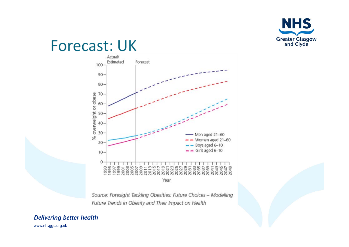

### **Forecast: UK**



Source: Foresight Tackling Obesities: Future Choices - Modelling Future Trends in Obesity and Their Impact on Health

#### **Delivering better health**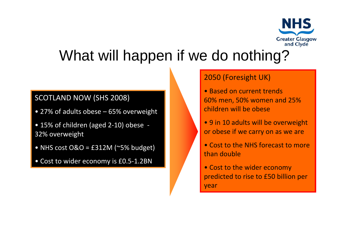

### What will happen if we do nothing?

#### SCOTLAND NOW (SHS 2008)

- 27% of adults obese 65% overweight
- 15% of children (aged 2‐10) obese ‐ 32% overweight
- NHS cost O&O <sup>=</sup> £312M (~5% budget)
- Cost to wider economy is £0.5‐1.2BN

#### 2050 (Foresight UK)

- Based on current trends 60% men, 50% women and 25% children will be obese
- 9 in 10 adults will be overweight or obese if we carry on as we are
- Cost to the NHS forecast to more than double
- Cost to the wider economy predicted to rise to £50 billion per year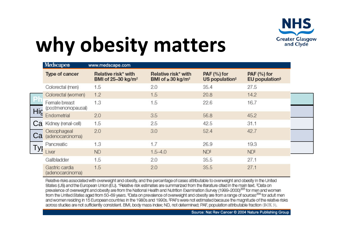

# **why obesity matters**

|                                                                                                                                         | Medscape®<br>www.medscape.com       |                                                       |                                                           |                                             |                                             |  |
|-----------------------------------------------------------------------------------------------------------------------------------------|-------------------------------------|-------------------------------------------------------|-----------------------------------------------------------|---------------------------------------------|---------------------------------------------|--|
|                                                                                                                                         | Type of cancer                      | Relative risk* with<br>BMI of 25-30 kg/m <sup>2</sup> | Relative risk* with<br>BMI of $\geq$ 30 kg/m <sup>2</sup> | $PAF$ (%) for<br>US population <sup>#</sup> | $PAF$ (%) for<br>EU population <sup>§</sup> |  |
|                                                                                                                                         | Colorectal (men)                    | 1.5                                                   | 2.0                                                       | 35.4                                        | 27.5                                        |  |
|                                                                                                                                         | Colorectal (women)                  | 1.2                                                   | 1.5                                                       | 20.8                                        | 14.2                                        |  |
|                                                                                                                                         | Female breast<br>(postmenonopausal) | 1.3                                                   | 1.5                                                       | 22.6                                        | 16.7                                        |  |
| Hig                                                                                                                                     | Endometrial                         | 2.0                                                   | 3.5                                                       | 56.8                                        | 45.2                                        |  |
| Ca                                                                                                                                      | Kidney (renal-cell)                 | 1.5                                                   | 2.5                                                       | 42.5                                        | 31.1                                        |  |
| Ca                                                                                                                                      | Oesophageal<br>(adenocarcinoma)     | 2.0                                                   | 3.0                                                       | 52.4                                        | 42.7                                        |  |
|                                                                                                                                         | Pancreatic                          | 1.3                                                   | 1.7                                                       | 26.9                                        | 19.3                                        |  |
| Tyr                                                                                                                                     | Liver                               | <b>ND</b>                                             | $1.5 - 4.0$                                               | <b>NDI</b>                                  | <b>NDI</b>                                  |  |
|                                                                                                                                         | Gallbladder                         | 1.5                                                   | 2.0                                                       | 35.5                                        | 27.1                                        |  |
|                                                                                                                                         | Gastric cardia<br>(adenocarcinoma)  | 1.5                                                   | 2.0                                                       | 35.5                                        | 27.1                                        |  |
| Relative risks associated with overweloht and obestiv and the percentage of cases attributable to overweloht and obestiv in the United. |                                     |                                                       |                                                           |                                             |                                             |  |

States (US) and the European Union (EU). \*Relative risk estimates are summarized from the literature cited in the main text. \*Data on prevalence of overweight and obesity are from the National Health and Nutrition Examination Survey (1999-2000)<sup>205</sup> for men and women from the United States aged from 50-69 years. <sup>\$</sup>Data on prevalence of overweight and obesity are from a range of sources<sup>206</sup> for adult men and women residing in 15 European countries in the 1980s and 1990s. <sup>II</sup>PAFs were not estimated because the magnitude of the relative risks across studies are not sufficiently consistent. BMI, body mass index; ND, not determined; PAF, population attributable fraction (BOX 3),

Source: Nat Rev Cancer @ 2004 Nature Publishing Group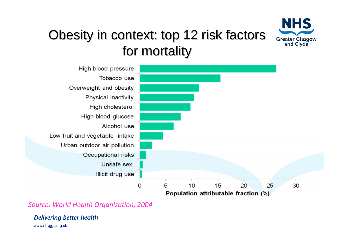

#### Obesity in context: top 12 risk factors for mortality



*Source: World Health Organization, 2004*

**Delivering better health**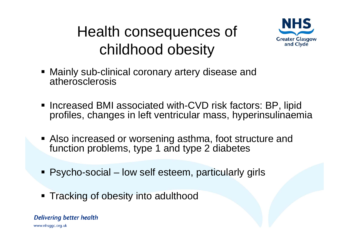### Health consequences of childhood obesity



- Mainly sub-clinical coronary artery disease and atherosclerosis
- Increased BMI associated with-CVD risk factors: BP, lipid profiles, changes in left ventricular mass, hyperinsulinaemia
- Also increased or worsening asthma, foot structure and function problems, type 1 and type 2 diabetes
- Psycho-social low self esteem, particularly girls
- **Tracking of obesity into adulthood**

**Delivering better health**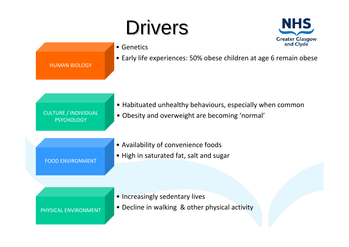# Drivers



|                                                  | and Civue<br>• Genetics                                                                                     |
|--------------------------------------------------|-------------------------------------------------------------------------------------------------------------|
| <b>HUMAN BIOLOGY</b>                             | • Early life experiences: 50% obese children at age 6 remain obese                                          |
| <b>CULTURE / INDIVIDUAL</b><br><b>PSYCHOLOGY</b> | • Habituated unhealthy behaviours, especially when common<br>• Obesity and overweight are becoming 'normal' |
| <b>FOOD ENVIRONMENT</b>                          | • Availability of convenience foods<br>. High in saturated fat, salt and sugar                              |
|                                                  |                                                                                                             |

• Increasingly sedentary lives

PHYSICAL ENVIRONMENT

• Decline in walking & other physical activity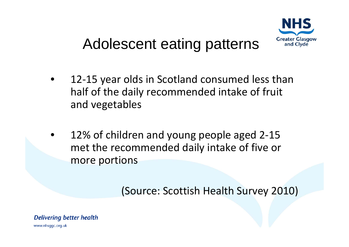

### Adolescent eating patterns

- 12 ‐15 year olds in Scotland consumed less than half of the daily recommended intake of fruit and vegetables
- 12% of children and young people aged 2-15 met the recommended daily intake of five or more portions

(Source: Scottish Health Survey 2010)

**Delivering better health** www.nhsggc.org.uk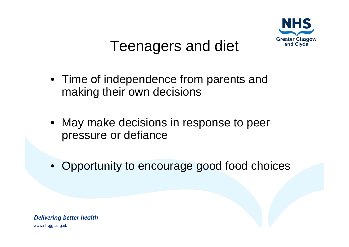

### Teenagers and diet

- Time of independence from parents and making their own decisions
- May make decisions in response to peer pressure or defiance
- Opportunity to encourage good food choices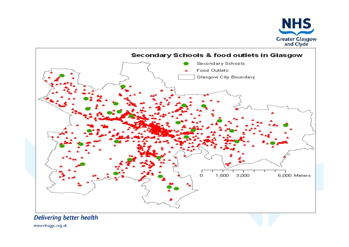



**Delivering better health**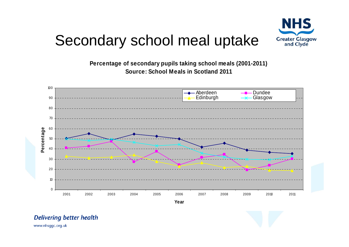

### Secondary school meal uptake

**Percentage of secondary pupils taking school meals (2001-2011) Source: School Meals in Scotland 2011**



**Year**



#### **Delivering better health**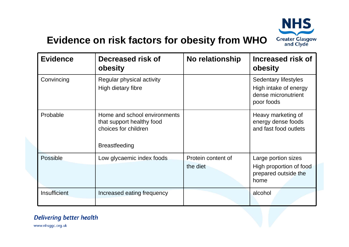

#### **Evidence on risk factors for obesity from WHO**

| <b>Evidence</b> | Decreased risk of<br>obesity                                                                              | <b>No relationship</b>         | <b>Increased risk of</b><br>obesity                                                |
|-----------------|-----------------------------------------------------------------------------------------------------------|--------------------------------|------------------------------------------------------------------------------------|
| Convincing      | Regular physical activity<br>High dietary fibre                                                           |                                | Sedentary lifestyles<br>High intake of energy<br>dense micronutrient<br>poor foods |
| Probable        | Home and school environments<br>that support healthy food<br>choices for children<br><b>Breastfeeding</b> |                                | Heavy marketing of<br>energy dense foods<br>and fast food outlets                  |
| <b>Possible</b> | Low glycaemic index foods                                                                                 | Protein content of<br>the diet | Large portion sizes<br>High proportion of food<br>prepared outside the<br>home     |
| Insufficient    | Increased eating frequency                                                                                |                                | alcohol                                                                            |

#### **Delivering better health**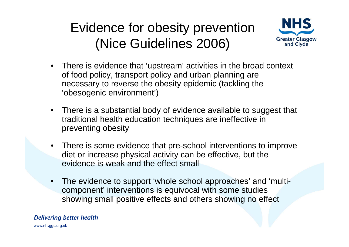#### Evidence for obesity prevention (Nice Guidelines 2006)



- There is evidence that 'upstream' activities in the broad context of food policy, transport policy and urban planning are necessary to reverse the obesity epidemic (tackling the 'obesogenic environment')
- There is a substantial body of evidence available to suggest that traditional health education techniques are ineffective in preventing obesity
- There is some evidence that pre-school interventions to improve diet or increase physical activity can be effective, but the evidence is weak and the effect small
- The evidence to support 'whole school approaches' and 'multicomponent' interventions is equivocal with some studies showing small positive effects and others showing no effect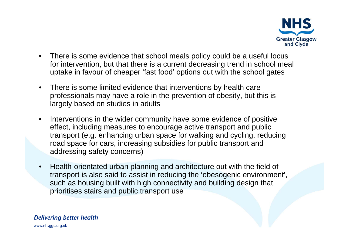

- There is some evidence that school meals policy could be a useful locus for intervention, but that there is a current decreasing trend in school meal uptake in favour of cheaper 'fast food' options out with the school gates
- There is some limited evidence that interventions by health care professionals may have a role in the prevention of obesity, but this is largely based on studies in adults
- Interventions in the wider community have some evidence of positive effect, including measures to encourage active transport and public transport (e.g. enhancing urban space for walking and cycling, reducing road space for cars, increasing subsidies for public transport and addressing safety concerns)
- Health-orientated urban planning and architecture out with the field of transport is also said to assist in reducing the 'obesogenic environment', such as housing built with high connectivity and building design that prioritises stairs and public transport use

#### **Delivering better health**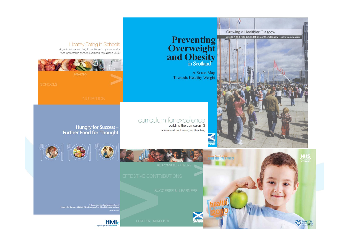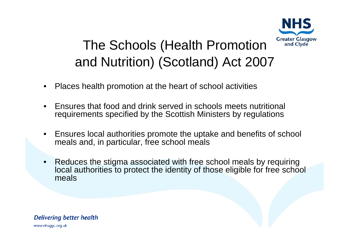

#### The Schools (Health Promotion and Nutrition) (Scotland) Act 2007

- Places health promotion at the heart of school activities
- Ensures that food and drink served in schools meets nutritional requirements specified by the Scottish Ministers by regulations
- Ensures local authorities promote the uptake and benefits of school meals and, in particular, free school meals
- Reduces the stigma associated with free school meals by requiring local authorities to protect the identity of those eligible for free school meals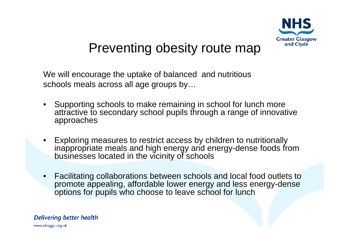

#### Preventing obesity route map

We will encourage the uptake of balanced and nutritious schools meals across all age groups by…

- Supporting schools to make remaining in school for lunch more attractive to secondary school pupils through a range of innovative approaches
- Exploring measures to restrict access by children to nutritionally inappropriate meals and high energy and energy-dense foods from businesses located in the vicinity of schools
- Facilitating collaborations between schools and local food outlets to promote appealing, affordable lower energy and less energy-dense options for pupils who choose to leave school for lunch

#### **Delivering better health**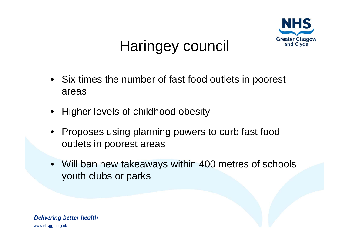

### Haringey council

- Six times the number of fast food outlets in poorest areas
- Higher levels of childhood obesity
- Proposes using planning powers to curb fast food outlets in poorest areas
- Will ban new takeaways within 400 metres of schools youth clubs or parks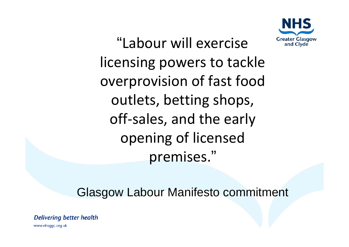

"Labour will exerciselicensing powers to tackle overprovision of fast food outlets, betting shops, off‐sales, and the early opening of licensed premises."

Glasgow Labour Manifesto commitment

**Delivering better health**